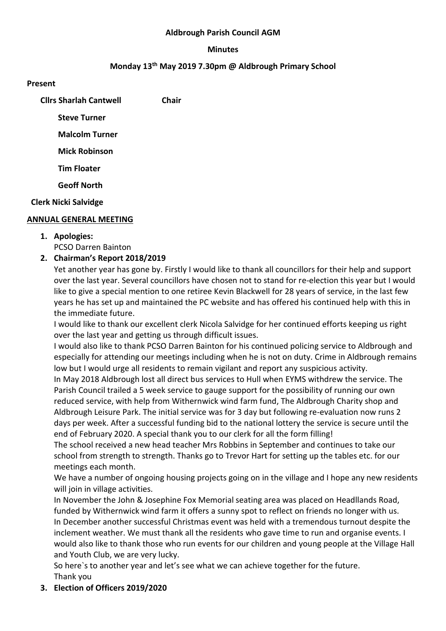#### **Aldbrough Parish Council AGM**

#### **Minutes**

#### **Monday 13th May 2019 7.30pm @ Aldbrough Primary School**

#### **Present**

| <b>Clirs Sharlah Cantwell</b> | Chair |
|-------------------------------|-------|
| <b>Steve Turner</b>           |       |
| <b>Malcolm Turner</b>         |       |
| <b>Mick Robinson</b>          |       |
| <b>Tim Floater</b>            |       |
| <b>Geoff North</b>            |       |
| <b>Clerk Nicki Salvidge</b>   |       |

#### **ANNUAL GENERAL MEETING**

- **1. Apologies:**
	- PCSO Darren Bainton
- **2. Chairman's Report 2018/2019**

Yet another year has gone by. Firstly I would like to thank all councillors for their help and support over the last year. Several councillors have chosen not to stand for re-election this year but I would like to give a special mention to one retiree Kevin Blackwell for 28 years of service, in the last few years he has set up and maintained the PC website and has offered his continued help with this in the immediate future.

I would like to thank our excellent clerk Nicola Salvidge for her continued efforts keeping us right over the last year and getting us through difficult issues.

I would also like to thank PCSO Darren Bainton for his continued policing service to Aldbrough and especially for attending our meetings including when he is not on duty. Crime in Aldbrough remains low but I would urge all residents to remain vigilant and report any suspicious activity.

In May 2018 Aldbrough lost all direct bus services to Hull when EYMS withdrew the service. The Parish Council trailed a 5 week service to gauge support for the possibility of running our own reduced service, with help from Withernwick wind farm fund, The Aldbrough Charity shop and Aldbrough Leisure Park. The initial service was for 3 day but following re-evaluation now runs 2 days per week. After a successful funding bid to the national lottery the service is secure until the end of February 2020. A special thank you to our clerk for all the form filling!

The school received a new head teacher Mrs Robbins in September and continues to take our school from strength to strength. Thanks go to Trevor Hart for setting up the tables etc. for our meetings each month.

We have a number of ongoing housing projects going on in the village and I hope any new residents will join in village activities.

In November the John & Josephine Fox Memorial seating area was placed on Headllands Road, funded by Withernwick wind farm it offers a sunny spot to reflect on friends no longer with us. In December another successful Christmas event was held with a tremendous turnout despite the inclement weather. We must thank all the residents who gave time to run and organise events. I would also like to thank those who run events for our children and young people at the Village Hall and Youth Club, we are very lucky.

So here`s to another year and let's see what we can achieve together for the future. Thank you

**3. Election of Officers 2019/2020**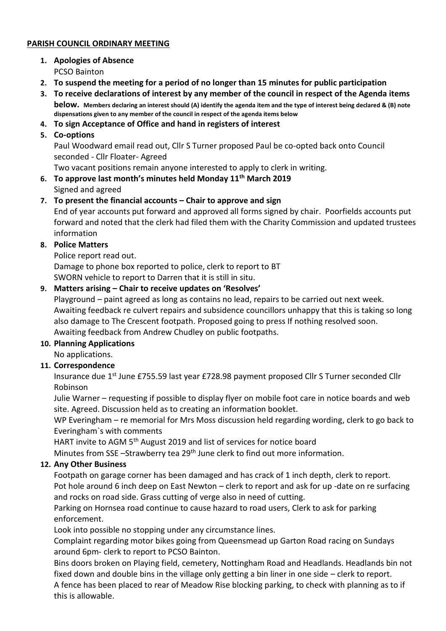### **PARISH COUNCIL ORDINARY MEETING**

- **1. Apologies of Absence** PCSO Bainton
- **2. To suspend the meeting for a period of no longer than 15 minutes for public participation**
- **3. To receive declarations of interest by any member of the council in respect of the Agenda items below. Members declaring an interest should (A) identify the agenda item and the type of interest being declared & (B) note dispensations given to any member of the council in respect of the agenda items below**
- **4. To sign Acceptance of Office and hand in registers of interest**
- **5. Co-options**

Paul Woodward email read out, Cllr S Turner proposed Paul be co-opted back onto Council seconded - Cllr Floater- Agreed

Two vacant positions remain anyone interested to apply to clerk in writing.

## **6. To approve last month's minutes held Monday 11th March 2019**

Signed and agreed

### **7. To present the financial accounts – Chair to approve and sign**

End of year accounts put forward and approved all forms signed by chair. Poorfields accounts put forward and noted that the clerk had filed them with the Charity Commission and updated trustees information

### **8. Police Matters**

Police report read out.

Damage to phone box reported to police, clerk to report to BT SWORN vehicle to report to Darren that it is still in situ.

### **9. Matters arising – Chair to receive updates on 'Resolves'**

Playground – paint agreed as long as contains no lead, repairs to be carried out next week. Awaiting feedback re culvert repairs and subsidence councillors unhappy that this is taking so long also damage to The Crescent footpath. Proposed going to press If nothing resolved soon. Awaiting feedback from Andrew Chudley on public footpaths.

### **10. Planning Applications**

No applications.

### **11. Correspondence**

Insurance due 1st June £755.59 last year £728.98 payment proposed Cllr S Turner seconded Cllr Robinson

Julie Warner – requesting if possible to display flyer on mobile foot care in notice boards and web site. Agreed. Discussion held as to creating an information booklet.

WP Everingham – re memorial for Mrs Moss discussion held regarding wording, clerk to go back to Everingham`s with comments

HART invite to AGM 5<sup>th</sup> August 2019 and list of services for notice board

Minutes from SSE -Strawberry tea 29<sup>th</sup> June clerk to find out more information.

### **12. Any Other Business**

Footpath on garage corner has been damaged and has crack of 1 inch depth, clerk to report. Pot hole around 6 inch deep on East Newton – clerk to report and ask for up -date on re surfacing and rocks on road side. Grass cutting of verge also in need of cutting.

Parking on Hornsea road continue to cause hazard to road users, Clerk to ask for parking enforcement.

Look into possible no stopping under any circumstance lines.

Complaint regarding motor bikes going from Queensmead up Garton Road racing on Sundays around 6pm- clerk to report to PCSO Bainton.

Bins doors broken on Playing field, cemetery, Nottingham Road and Headlands. Headlands bin not fixed down and double bins in the village only getting a bin liner in one side – clerk to report. A fence has been placed to rear of Meadow Rise blocking parking, to check with planning as to if this is allowable.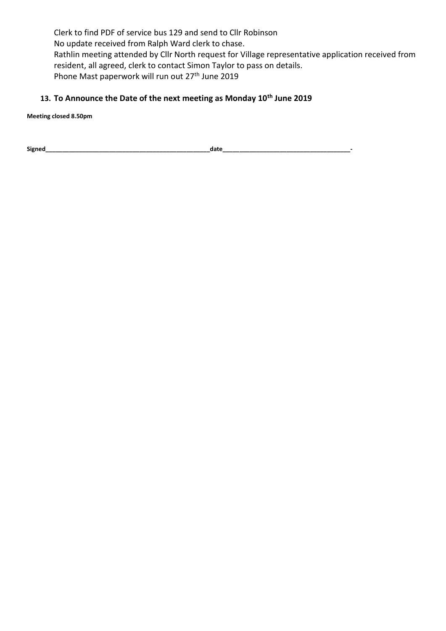Clerk to find PDF of service bus 129 and send to Cllr Robinson No update received from Ralph Ward clerk to chase. Rathlin meeting attended by Cllr North request for Village representative application received from resident, all agreed, clerk to contact Simon Taylor to pass on details. Phone Mast paperwork will run out 27<sup>th</sup> June 2019

# **13. To Announce the Date of the next meeting as Monday 10th June 2019**

**Meeting closed 8.50pm**

**Signed\_\_\_\_\_\_\_\_\_\_\_\_\_\_\_\_\_\_\_\_\_\_\_\_\_\_\_\_\_\_\_\_\_\_\_\_\_\_\_\_\_\_\_\_\_\_\_\_\_date\_\_\_\_\_\_\_\_\_\_\_\_\_\_\_\_\_\_\_\_\_\_\_\_\_\_\_\_\_\_\_\_\_\_\_\_\_\_-**